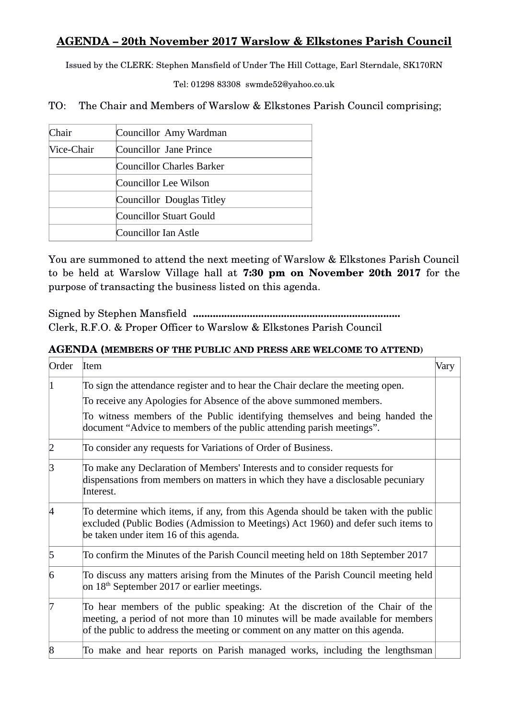## **AGENDA – 20th November 2017 Warslow & Elkstones Parish Council**

Issued by the CLERK: Stephen Mansfield of Under The Hill Cottage, Earl Sterndale, SK170RN

Tel: 01298 83308 swmde52@yahoo.co.uk

TO: The Chair and Members of Warslow & Elkstones Parish Council comprising;

| Chair      | Councillor Amy Wardman    |
|------------|---------------------------|
| Vice-Chair | Councillor Jane Prince    |
|            | Councillor Charles Barker |
|            | Councillor Lee Wilson     |
|            | Councillor Douglas Titley |
|            | Councillor Stuart Gould   |
|            | Councillor Ian Astle      |

You are summoned to attend the next meeting of Warslow & Elkstones Parish Council to be held at Warslow Village hall at **7:30 pm on November 20th 2017** for the purpose of transacting the business listed on this agenda.

Signed by Stephen Mansfield **.........................................................................** Clerk, R.F.O. & Proper Officer to Warslow & Elkstones Parish Council

## **AGENDA (MEMBERS OF THE PUBLIC AND PRESS ARE WELCOME TO ATTEND)**

| Order          | Item                                                                                                                                                                                                                                               | Vary |
|----------------|----------------------------------------------------------------------------------------------------------------------------------------------------------------------------------------------------------------------------------------------------|------|
| 11             | To sign the attendance register and to hear the Chair declare the meeting open.<br>To receive any Apologies for Absence of the above summoned members.<br>To witness members of the Public identifying themselves and being handed the             |      |
|                | document "Advice to members of the public attending parish meetings".                                                                                                                                                                              |      |
| $\overline{2}$ | To consider any requests for Variations of Order of Business.                                                                                                                                                                                      |      |
| Β              | To make any Declaration of Members' Interests and to consider requests for<br>dispensations from members on matters in which they have a disclosable pecuniary<br>Interest.                                                                        |      |
| 14             | To determine which items, if any, from this Agenda should be taken with the public<br>excluded (Public Bodies (Admission to Meetings) Act 1960) and defer such items to<br>be taken under item 16 of this agenda.                                  |      |
| 5              | To confirm the Minutes of the Parish Council meeting held on 18th September 2017                                                                                                                                                                   |      |
| 6              | To discuss any matters arising from the Minutes of the Parish Council meeting held<br>on $18th$ September 2017 or earlier meetings.                                                                                                                |      |
| 17             | To hear members of the public speaking: At the discretion of the Chair of the<br>meeting, a period of not more than 10 minutes will be made available for members<br>of the public to address the meeting or comment on any matter on this agenda. |      |
| $\bf{8}$       | To make and hear reports on Parish managed works, including the lengthsman                                                                                                                                                                         |      |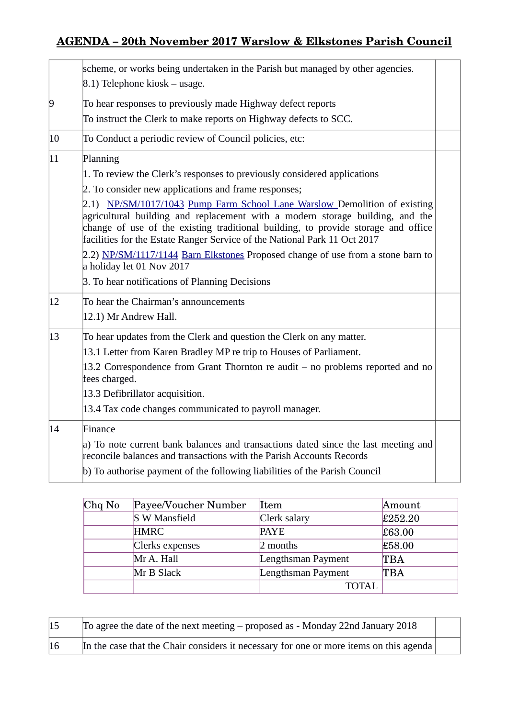## **AGENDA – 20th November 2017 Warslow & Elkstones Parish Council**

|                | scheme, or works being undertaken in the Parish but managed by other agencies.<br>8.1) Telephone kiosk – usage.                                                                                                                                                                                                              |  |
|----------------|------------------------------------------------------------------------------------------------------------------------------------------------------------------------------------------------------------------------------------------------------------------------------------------------------------------------------|--|
| $\overline{9}$ | To hear responses to previously made Highway defect reports                                                                                                                                                                                                                                                                  |  |
|                | To instruct the Clerk to make reports on Highway defects to SCC.                                                                                                                                                                                                                                                             |  |
| $ 10\rangle$   | To Conduct a periodic review of Council policies, etc:                                                                                                                                                                                                                                                                       |  |
| $ 11\rangle$   | Planning                                                                                                                                                                                                                                                                                                                     |  |
|                | 1. To review the Clerk's responses to previously considered applications                                                                                                                                                                                                                                                     |  |
|                | 2. To consider new applications and frame responses;                                                                                                                                                                                                                                                                         |  |
|                | 2.1) NP/SM/1017/1043 Pump Farm School Lane Warslow Demolition of existing<br>agricultural building and replacement with a modern storage building, and the<br>change of use of the existing traditional building, to provide storage and office<br>facilities for the Estate Ranger Service of the National Park 11 Oct 2017 |  |
|                | 2.2) NP/SM/1117/1144 Barn Elkstones Proposed change of use from a stone barn to<br>a holiday let 01 Nov 2017                                                                                                                                                                                                                 |  |
|                | 3. To hear notifications of Planning Decisions                                                                                                                                                                                                                                                                               |  |
| $ 12\rangle$   | To hear the Chairman's announcements                                                                                                                                                                                                                                                                                         |  |
|                | 12.1) Mr Andrew Hall.                                                                                                                                                                                                                                                                                                        |  |
| $ 13\rangle$   | To hear updates from the Clerk and question the Clerk on any matter.                                                                                                                                                                                                                                                         |  |
|                | 13.1 Letter from Karen Bradley MP re trip to Houses of Parliament.                                                                                                                                                                                                                                                           |  |
|                | 13.2 Correspondence from Grant Thornton re audit – no problems reported and no<br>fees charged.                                                                                                                                                                                                                              |  |
|                | 13.3 Defibrillator acquisition.                                                                                                                                                                                                                                                                                              |  |
|                | 13.4 Tax code changes communicated to payroll manager.                                                                                                                                                                                                                                                                       |  |
| 14             | Finance                                                                                                                                                                                                                                                                                                                      |  |
|                | a) To note current bank balances and transactions dated since the last meeting and<br>reconcile balances and transactions with the Parish Accounts Records                                                                                                                                                                   |  |
|                | b) To authorise payment of the following liabilities of the Parish Council                                                                                                                                                                                                                                                   |  |

| Chq No | Payee/Voucher Number | Item               | Amount  |
|--------|----------------------|--------------------|---------|
|        | <b>S W Mansfield</b> | Clerk salary       | £252.20 |
|        | <b>HMRC</b>          | <b>PAYE</b>        | £63.00  |
|        | Clerks expenses      | 2 months           | £58.00  |
|        | Mr A. Hall           | Lengthsman Payment | TBA     |
|        | Mr B Slack           | Lengthsman Payment | TBA     |
|        |                      | <b>TOTAL</b>       |         |

| 15 | To agree the date of the next meeting – proposed as - Monday 22nd January 2018             |  |
|----|--------------------------------------------------------------------------------------------|--|
| 16 | In the case that the Chair considers it necessary for one or more items on this agenda $ $ |  |